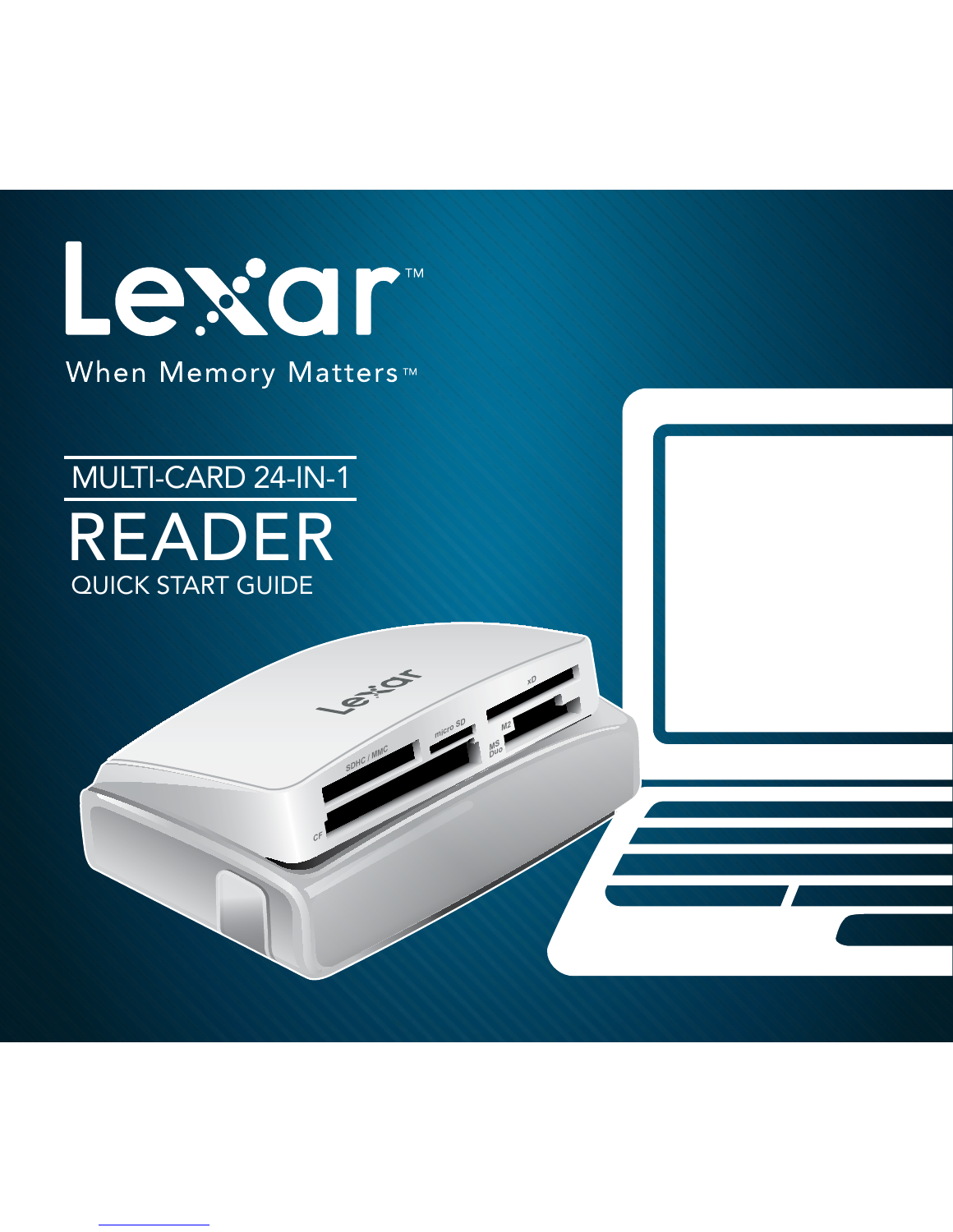

# MULTI-CARD 24-IN-1 READER QUICK START GUIDE

SDHC / MMC **xD & Macro SD & M2** 

**CF** SONIC / MMC

**M2 micro SD**

**Duo**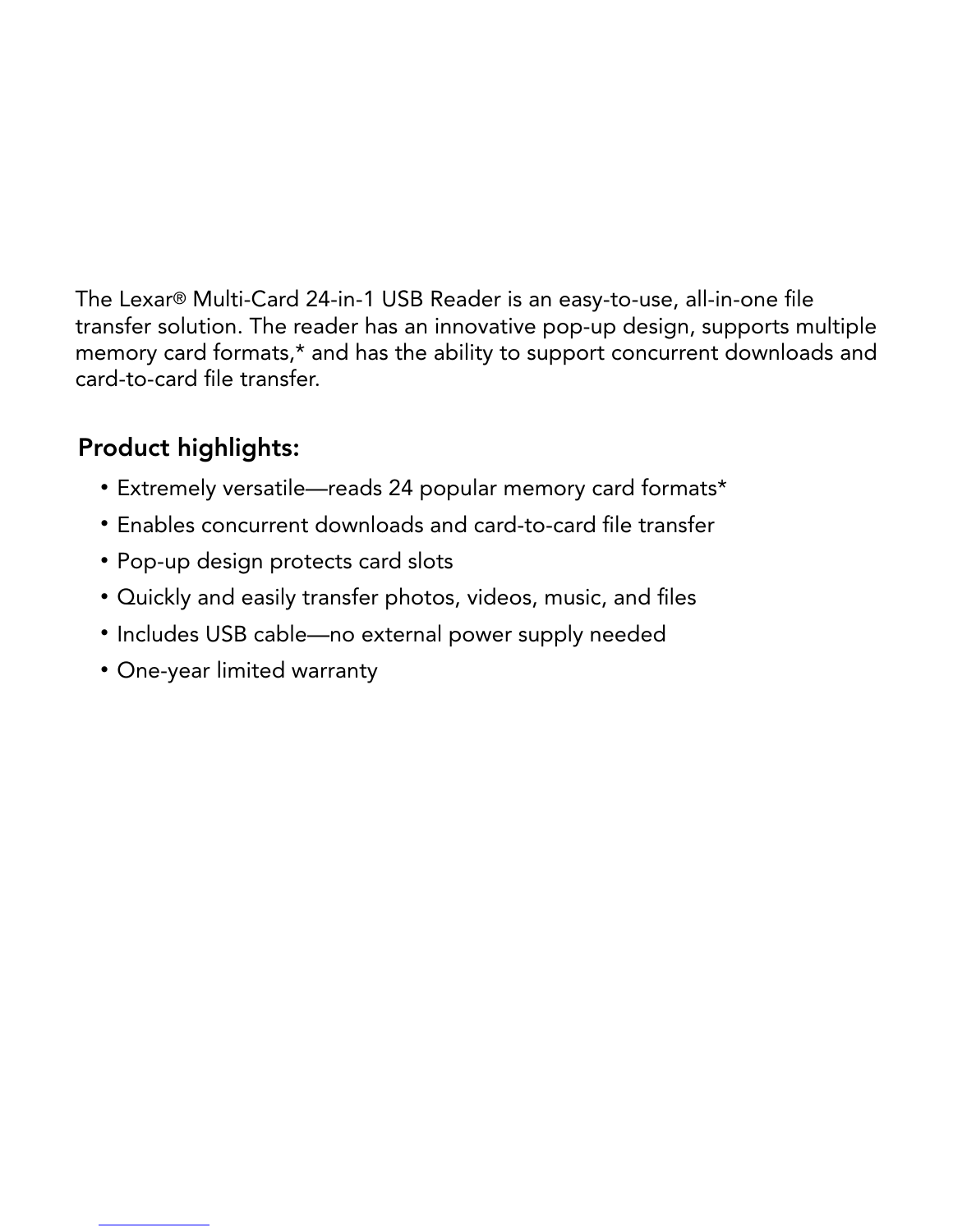The Lexar® Multi-Card 24-in-1 USB Reader is an easy-to-use, all-in-one file<br>transfer solution. The reader has an innovative pop-up design, supports me<br>memory card formats,\* and has the ability to support concurrent downloa transfer solution. The reader has an innovative pop-up design, supports multiple<br>memory card formats,\* and has the ability to support concurrent downloads and<br>card-to-card file transfer.<br>**Product highlights:**<br>• Extremely v memory card formats,\* and has the ability to support concurrent downloads and card-to-card file transfer.

# Product highlights:

- Extremely versatile-reads 24 popular memory card formats\*
- Extremely versatile—reads 24 popular memory card formats\*<br>• Enables concurrent downloads and card-to-card file transfer<br>• Pop-up design protects card slots<br>• Quickly and easily transfer photos, videos, music, and files<br>• • Enables concurrent downloads and card-to-card file transfer
	- Pop-up design protects card slots
- Enables concurrent downloads and card-to-card file transfer<br>• Pop-up design protects card slots<br>• Quickly and easily transfer photos, videos, music, and files<br>• Includes USB cable—no external power supply needed<br>• One-ye • Quickly and easily transfer photos, videos, music, and files
- Includes USB cable-no external power supply needed • Includes USB cable—no external power supply needed<br>• One-year limited warranty<br>•
	- One-year limited warranty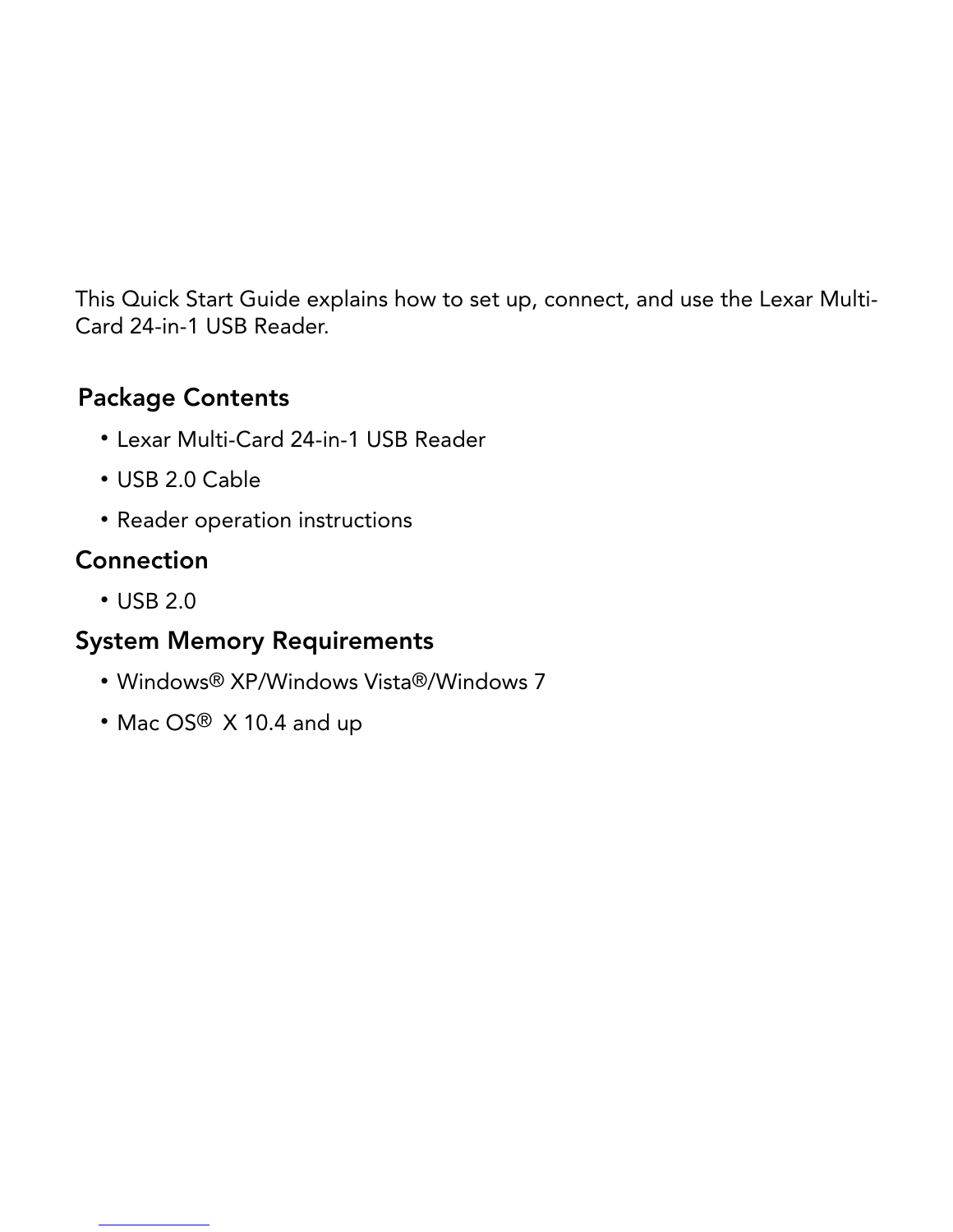This Quick Start Guide explains how to set up, connect, and use the Lexar Multi-Card 24-in-1 USB Reader.<br> **Package Contents**<br>
• Lexar Multi-Card 24-in-1 USB Reader<br>
• USB 2.0 Cable<br>
• Reader operation instructions<br> **Connec** 

#### Package Contents

- 
- USB 2.0 Cable
- Reader operation instructions

# **Connection**

• USB 2.0

# Card 24-in-1 USB Reader.<br>
Package Contents<br>
• Lexar Multi-Card 24-i<br>
• USB 2.0 Cable<br>
• Reader operation inst<br>
Connection<br>
• USB 2.0<br>
System Memory Requ<br>
• Windows® XP/Windc<br>
• Mac OS® X 10.4 and • Lexar Multi-Card 24-in-1 USB Reader<br>• USB 2.0 Cable<br>• Reader operation instructions<br>**Connection**<br>• USB 2.0<br>**System Memory Requirements**<br>• Windows® XP/Windows Vista®/Wind<br>• Mac OS® X 10.4 and up • USB 2.0 Cable<br>• Reader operat<br>**Connection**<br>• USB 2.0<br>**System Memory**<br>• Windows® XP,<br>• Mac OS® X 10 • Reader operation instructions<br>
Connection<br>
• USB 2.0<br>
System Memory Requiremen<br>
• Windows® XP/Windows Vista<br>
• Mac OS® X 10.4 and up USB 2.0<br>System Me<br>• Window<br>• Mac OS System Memory Requirements

- Windows® XP/Windows Vista®/Windows 7
- Mac OS®  $\times$  10.4 and up<br><br><br>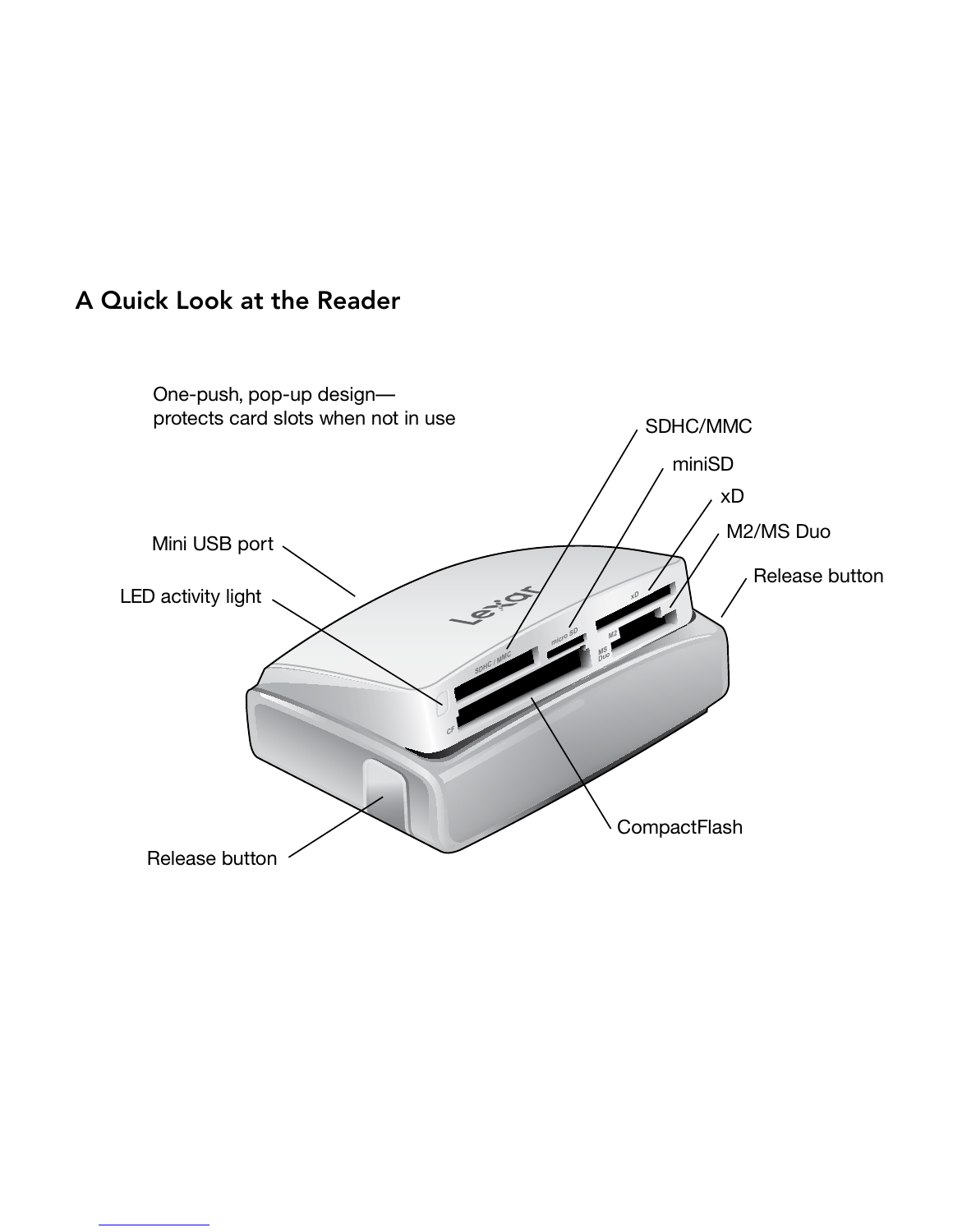

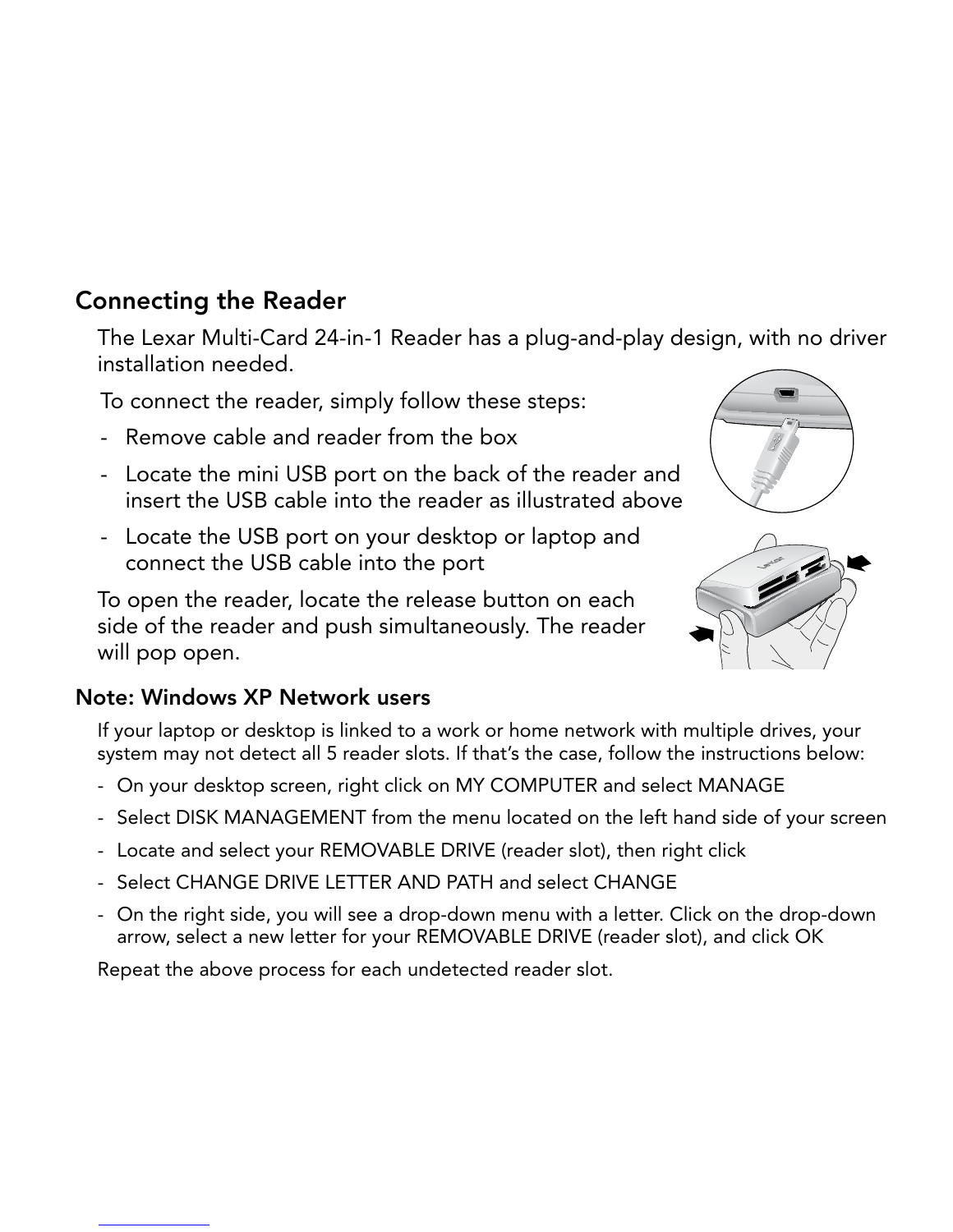## Connecting the Reader

installation needed.

- 
- 
- 

The Lexar Multi-Card 24-in-1 Reader has a plug-and-play design, with no driver<br>
installation needed.<br>
To connect the reader, simply follow these steps:<br>
- Remove cable and reader from the box<br>
- Locate the USB cable into t To connect the reader, simply follow these steps:<br>
- Remove cable and reader from the box<br>
- Locate the mini USB port on the back of the re<br>
insert the USB cable into the reader as illustrate<br>
- Locate the USB cable into t - Remove cable and reader from the box<br>- Locate the mini USB port on the back of<br>insert the USB cable into the reader as i<br>- Locate the USB port on your desktop or<br>connect the USB cable into the port<br>To open the reader, lo - Locate the mini USB port on the back of the reader and<br>insert the USB cable into the reader as illustrated above<br>- Locate the USB port on your desktop or laptop and<br>connect the USB cable into the port<br>To open the reader, insert the USB cable into the reader as illustrated above<br>Locate the USB port on your desktop or laptop and<br>connect the USB cable into the port<br>open the reader, locate the release button on each<br>e of the reader and push si - Locate the USB port on your desktop or laptop and<br>connect the USB cable into the port<br>To open the reader, locate the release button on each<br>side of the reader and push simultaneously. The reader<br>will pop open.<br>**bte: Wind** connect the USB cable into the port<br>open the reader, locate the release<br>e of the reader and push simultanec<br>l pop open.<br>**:: Windows XP Network users**<br>our laptop or desktop is linked to a work<br>tem may not detect all 5 reade To open the reader, locate the release button on each<br>side of the reader and push simultaneously. The reader<br>will pop open.<br>**Note: Windows XP Network users**<br>If your laptop or desktop is linked to a work or home network<br>sys side of the reader and push simultaneously. The reader<br>will pop open.<br>bte: Windows XP Network users<br>If your laptop or desktop is linked to a work or home network w<br>system may not detect all 5 reader slots. If that's the ca will pop open.



#### Note: Windows XP Network users

- 
- 
- 
- 
- If your laptop or desktop is linked to a work or home network with multiple drives, your system may not detect all 5 reader slots. If that's the case, follow the instructions below:<br>- On your desktop screen, right click on system may not detect all 5 reader slots. If that's the case, follow the instructions below:<br>- On your desktop screen, right click on MY COMPUTER and select MANAGE<br>- Select DISK MANAGEMENT from the menu located on the left - On your desktop screen, right click on MY COMPUTER and select MAN<br>- Select DISK MANAGEMENT from the menu located on the left hand sid<br>- Locate and select your REMOVABLE DRIVE (reader slot), then right click<br>- Select CHAN - Select DISK MANAGEMENT from the menu located on the left hand side of your screen<br>- Locate and select your REMOVABLE DRIVE (reader slot), then right click<br>- Select CHANGE DRIVE LETTER AND PATH and select CHANGE<br>- On the - Locate and select your REMOVABLE DRIVE (reader slot), then right click<br>- Select CHANGE DRIVE LETTER AND PATH and select CHANGE<br>- On the right side, you will see a drop-down menu with a letter. Click on<br>arrow, select a ne - Select CHANGE DRIVE LETTER AND PATH and select CHAN<br>- On the right side, you will see a drop-down menu with a lette<br>arrow, select a new letter for your REMOVABLE DRIVE (reade<br>Repeat the above process for each undetected - On the right side, you will see a drop-down menu with a letter. Click on the drop-down arrow, select a new letter for your REMOVABLE DRIVE (reader slot), and click OK<br>Repeat the above process for each undetected reader s arrow, select a new letter for your REMOVABLE DRIVE (reader slot), and click O<br>ppeat the above process for each undetected reader slot.<br> $\blacksquare$

Repeat the above process for each undetected reader slot.<br> $\frac{d}{dt}$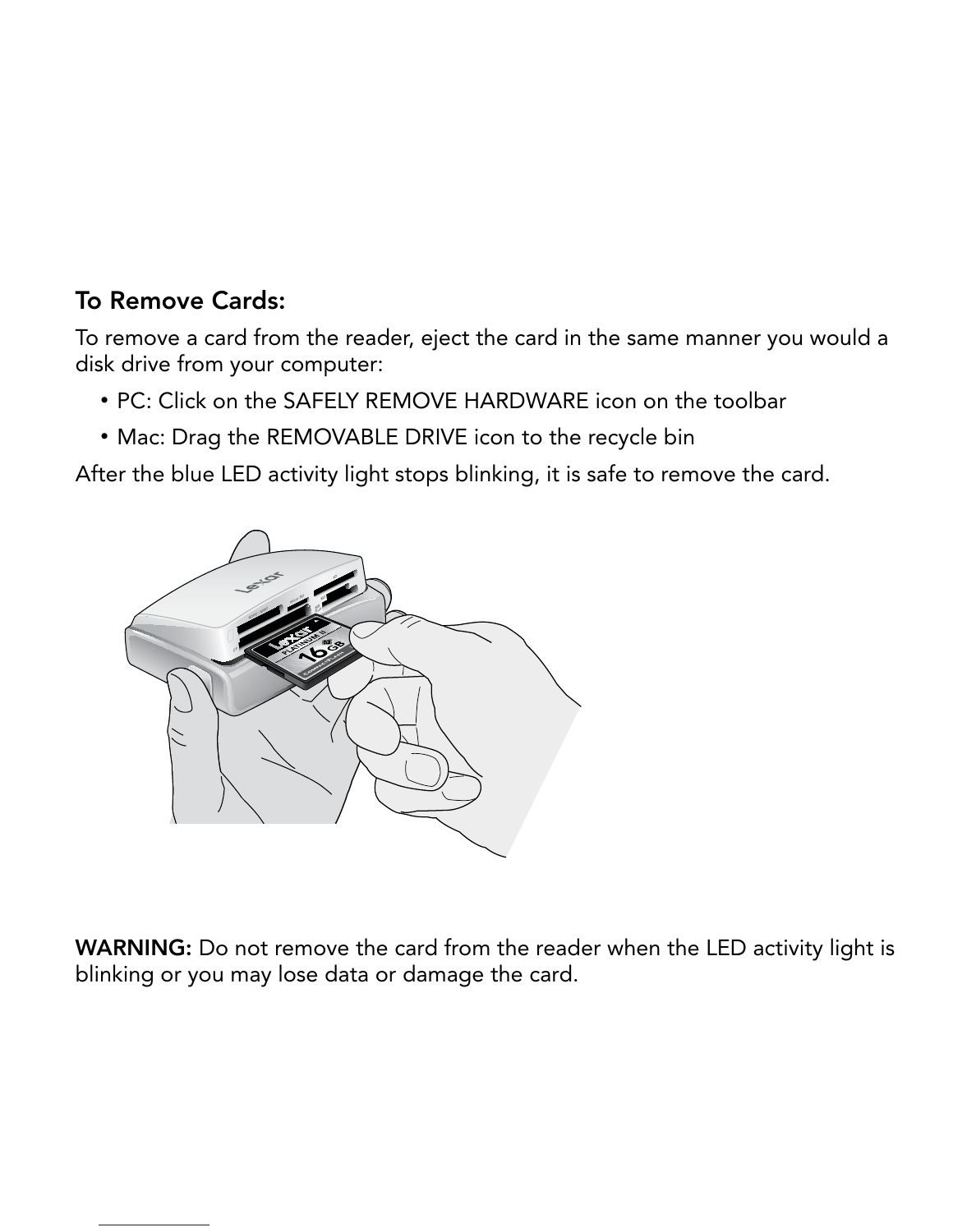# To Remove Cards:

disk drive from your computer:

- 
- 



WARNING: Do not remove the card from the reader when the LED activity light is Do not remove the card from the reader when the LED activity light is blinking or you may lose data or damage the card.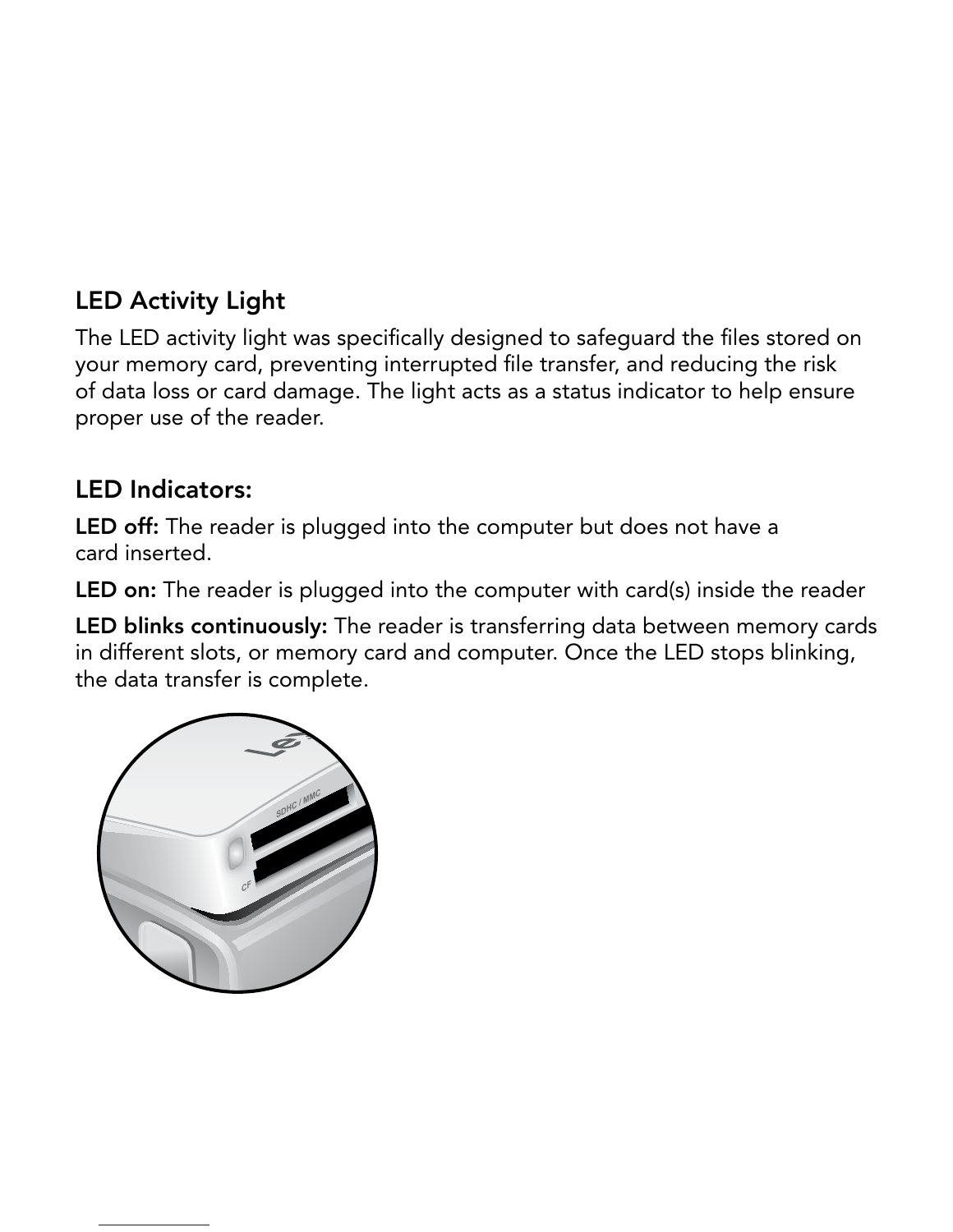# LED Activity Light

The LED activity light was specifically designed to safeguard the files stored on<br>your memory card, preventing interrupted file transfer, and reducing the risk<br>of data loss or card damage. The light acts as a status indica your memory card, preventing interrupted file transfer, and reducing the risk proper use of the reader.

#### LED Indicators:

LED off: The reader is plugged into the computer but does not have a card inserted.

**LED on:** The reader is plugged into the computer with card(s) inside the reader

of data loss or card damage. The light acts as a status indicator to help ensure<br>proper use of the reader.<br>LED Indicators:<br>LED off: The reader is plugged into the computer but does not have a<br>card inserted.<br>LED on: The rea LED blinks continuously: The reader is transferring data between memory cards the data transfer is complete.

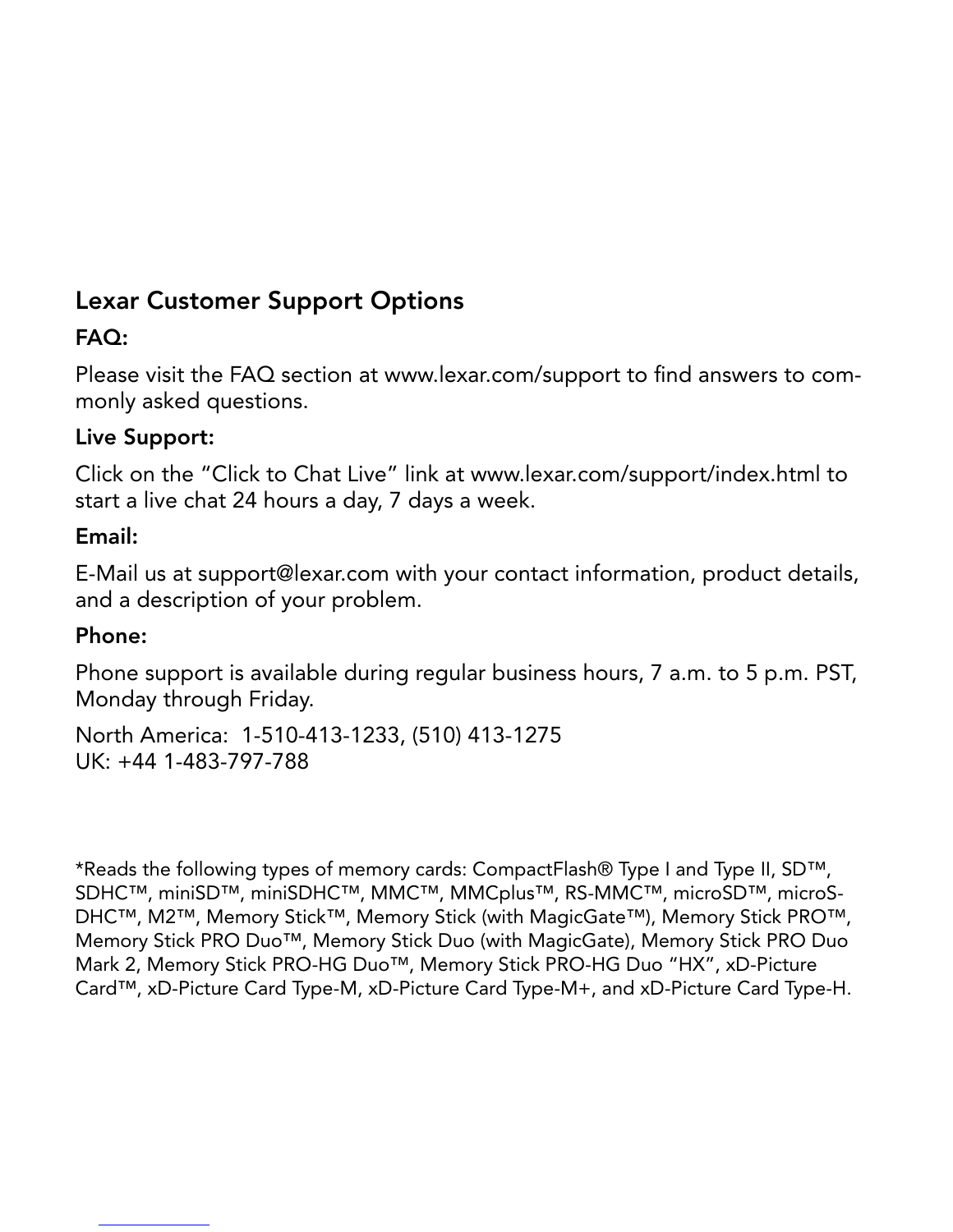# Lexar Customer Support Options

#### FAQ:

monly asked questions.

#### Live Support:

start a live chat 24 hours a day, 7 days a week.

#### Email:

and a description of your problem.

#### Phone:

Please visit the FAQ section at www.lexar.com/support to find answers to com-<br>monly asked questions.<br>Live Support:<br>Click on the "Click to Chat Live" link at www.lexar.com/support/index.html to<br>start a live chat 24 hours a Monday through Friday.

Click on the "Click to Chat Live" link at www.lexar.com/support/index.html to<br>start a live chat 24 hours a day, 7 days a week.<br>E-Mail us at support@lexar.com with your contact information, product details<br>and a descriptio E-Mail us at support@lexar.com with your contact information, product details,<br>and a description of your problem.<br>**Phone:**<br>Phone support is available during regular business hours, 7 a.m. to 5 p.m. PST,<br>Monday through Fri Phone support is available during regular business hours, 7 a.m. to 5 p.m. PST,<br>Monday through Friday.<br>North America: 1-510-413-1233, (510) 413-1275<br>UK: +44 1-483-797-788<br>Weblack the following types of memory cards: Compa North America: 1-510-413-1233, (510) 413-1275<br>UK: +44 1-483-797-788<br>\*Reads the following types of memory cards: CompactFl<br>SDHC™, miniSD™, miniSDHC™, MMC™, MMCplus™,<br>DHC™, M2™, Memory Stick™, Memory Stick (with Mag<br>Memory UK: +44 1-483-797-788<br>\*Reads the following types<br>SDHC™, miniSD™, miniSD<br>DHC™, M2™, Memory Stid<br>Memory Stick PRO Duo™,<br>Mark 2, Memory Stick PRO<br>Card™, xD-Picture Card Ty \*Reads the following types of memory cards: CompactFlash® Type I and Type II, SD™,<br>SDHC™, miniSD™, miniSDHC™, MMC™, MMCplus™, RS-MMC™, microSD™, microS<br>DHC™, M2™, Memory Stick™, Memory Stick (with MagicGate™), Memory Sti SDHC™, miniSD™, miniSDHC™, MMC™, MMCplus™, RS-MMC™, microSD™, microS-DHC™, M2™, Memory Stick™, Memory Stick (with MagicGate™), Memory Stick PRO™<br>Memory Stick PRO Duo™, Memory Stick Duo (with MagicGate™), Memory Stick PRO™ DHC™, M2™, Memory Stick™, Memory Stick (with MagicGate™), Memory Stick PRO™,<br>Memory Stick PRO Duo™, Memory Stick Duo (with MagicGate), Memory Stick PRO Duo<br>Mark 2, Memory Stick PRO-HG Duo™, Memory Stick PRO-HG Duo "HX", x Memory Stick PRO Duo™, Memory Stick Duo (with MagicGate), Memory Stick PRO Duo<br>Mark 2, Memory Stick PRO-HG Duo™, Memory Stick PRO-HG Duo "HX", xD-Picture<br>Card™, xD-Picture Card Type-M, xD-Picture Card Type-M+, and xD-Pict Mark 2, Memory Stick PRO-HG Duo™, Memory Stick PRO-HG Duo "HX", xD-Picture<br>Card™, xD-Picture Card Type-M, xD-Picture Card Type-M+, and xD-Picture Card Type<br>Card™, xD-Picture Card Type-M, xD-Picture Card Type-M+, and xD-Pi Card™, xD-Picture Card Type-M, xD-Picture Card Type-M+, and xD-Picture Card Type-H.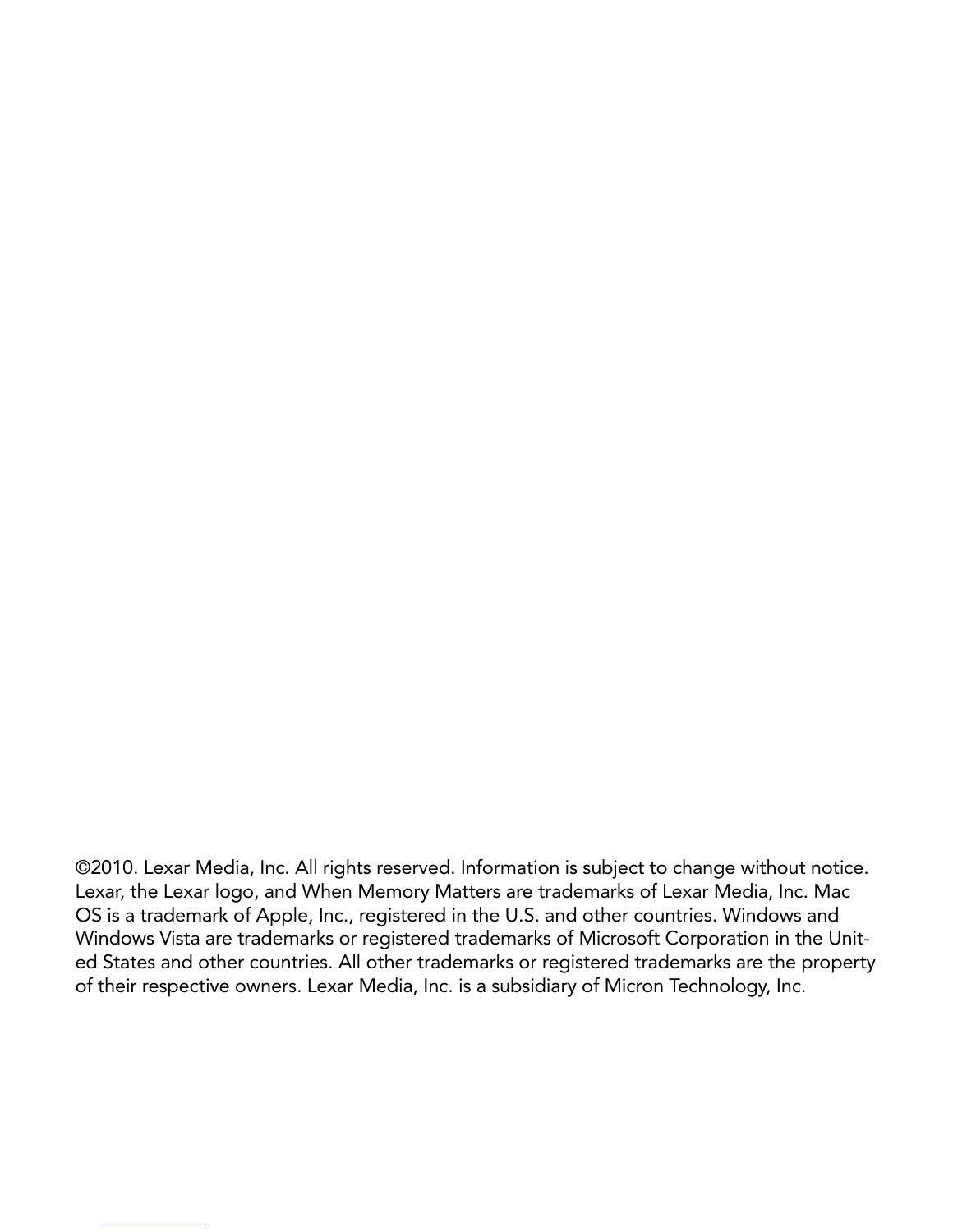©2010. Lexar Media, Inc. All rights reserved. Information is subject to change without notice.<br>Lexar, the Lexar logo, and When Memory Matters are trademarks of Lexar Media, Inc. Mac<br>OS is a trademark of Apple, Inc., regist Lexar, the Lexar logo, and When Memory Matters are trademarks of Lexar Media, Inc. Mac<br>OS is a trademark of Apple, Inc., registered in the U.S. and other countries. Windows and<br>Windows Vista are trademarks or registered tr OS is a trademark of Apple, Inc., registered in the U.S. and other countries. Windows and Windows Vista are trademarks or registered trademarks of Microsoft Corporation in the U<sub>l</sub>ed States and other countries. All other t Windows Vista are trademarks or registered trademarks of Microsoft Corporation in the Unit-<br>ed States and other countries. All other trademarks or registered trademarks are the property<br>of their respective owners. Lexar Me ed States and other countries. All other trademarks or registered trademarks are the property<br>of their respective owners. Lexar Media, Inc. is a subsidiary of Micron Technology, Inc.<br> $\frac{d}{dt}$ of their respective owners. Lexar Media, Inc. is a subsidiary of Micron Technology, Inc.